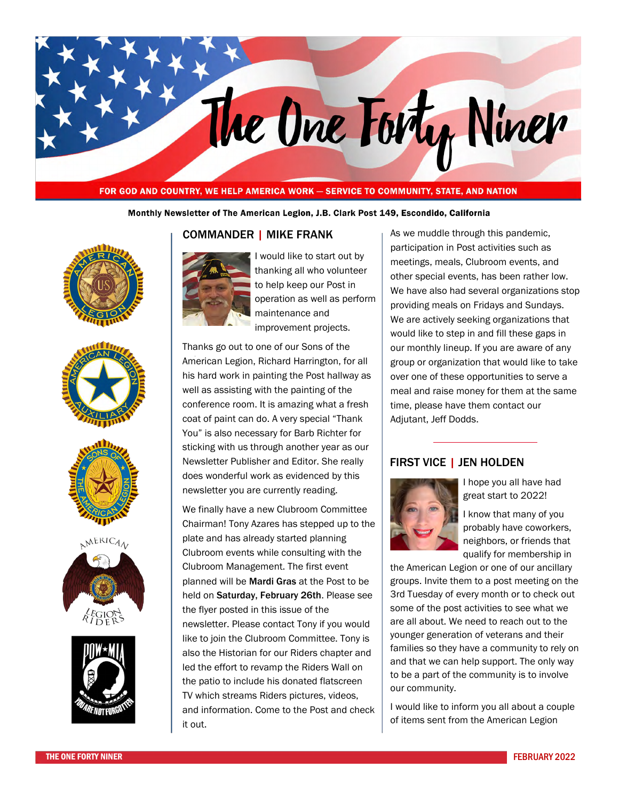# The One Forty Niner

#### FOR GOD AND COUNTRY, WE HELP AMERICA WORK - SERVICE TO COMMUNITY, STATE, AND NATION

#### Monthly Newsletter of The American Legion, J.B. Clark Post 149, Escondido, California











#### COMMANDER | MIKE FRANK



I would like to start out by thanking all who volunteer to help keep our Post in operation as well as perform maintenance and improvement projects.

Thanks go out to one of our Sons of the American Legion, Richard Harrington, for all his hard work in painting the Post hallway as well as assisting with the painting of the conference room. It is amazing what a fresh coat of paint can do. A very special "Thank You" is also necessary for Barb Richter for sticking with us through another year as our Newsletter Publisher and Editor. She really does wonderful work as evidenced by this newsletter you are currently reading.

We finally have a new Clubroom Committee Chairman! Tony Azares has stepped up to the plate and has already started planning Clubroom events while consulting with the Clubroom Management. The first event planned will be Mardi Gras at the Post to be held on Saturday, February 26th. Please see the flyer posted in this issue of the newsletter. Please contact Tony if you would like to join the Clubroom Committee. Tony is also the Historian for our Riders chapter and led the effort to revamp the Riders Wall on the patio to include his donated flatscreen TV which streams Riders pictures, videos, and information. Come to the Post and check it out.

As we muddle through this pandemic, participation in Post activities such as meetings, meals, Clubroom events, and other special events, has been rather low. We have also had several organizations stop providing meals on Fridays and Sundays. We are actively seeking organizations that would like to step in and fill these gaps in our monthly lineup. If you are aware of any group or organization that would like to take over one of these opportunities to serve a meal and raise money for them at the same time, please have them contact our Adjutant, Jeff Dodds.

#### FIRST VICE | JEN HOLDEN



I hope you all have had great start to 2022!

I know that many of you probably have coworkers, neighbors, or friends that qualify for membership in

the American Legion or one of our ancillary groups. Invite them to a post meeting on the 3rd Tuesday of every month or to check out some of the post activities to see what we are all about. We need to reach out to the younger generation of veterans and their families so they have a community to rely on and that we can help support. The only way to be a part of the community is to involve our community.

I would like to inform you all about a couple of items sent from the American Legion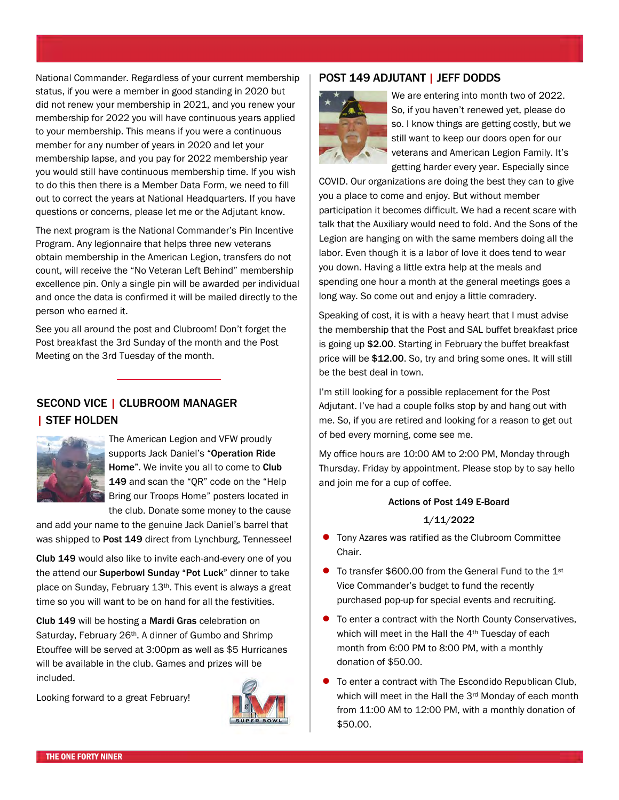National Commander. Regardless of your current membership status, if you were a member in good standing in 2020 but did not renew your membership in 2021, and you renew your membership for 2022 you will have continuous years applied to your membership. This means if you were a continuous member for any number of years in 2020 and let your membership lapse, and you pay for 2022 membership year you would still have continuous membership time. If you wish to do this then there is a Member Data Form, we need to fill out to correct the years at National Headquarters. If you have questions or concerns, please let me or the Adjutant know.

The next program is the National Commander's Pin Incentive Program. Any legionnaire that helps three new veterans obtain membership in the American Legion, transfers do not count, will receive the "No Veteran Left Behind" membership excellence pin. Only a single pin will be awarded per individual and once the data is confirmed it will be mailed directly to the person who earned it.

See you all around the post and Clubroom! Don't forget the Post breakfast the 3rd Sunday of the month and the Post Meeting on the 3rd Tuesday of the month.

### SECOND VICE | CLUBROOM MANAGER | STEF HOLDEN



The American Legion and VFW proudly supports Jack Daniel's "Operation Ride Home". We invite you all to come to Club 149 and scan the "QR" code on the "Help Bring our Troops Home" posters located in the club. Donate some money to the cause

and add your name to the genuine Jack Daniel's barrel that was shipped to Post 149 direct from Lynchburg, Tennessee!

Club 149 would also like to invite each-and-every one of you the attend our Superbowl Sunday "Pot Luck" dinner to take place on Sunday, February 13th. This event is always a great time so you will want to be on hand for all the festivities.

Club 149 will be hosting a Mardi Gras celebration on Saturday, February 26th. A dinner of Gumbo and Shrimp Etouffee will be served at 3:00pm as well as \$5 Hurricanes will be available in the club. Games and prizes will be included.

Looking forward to a great February!



#### POST 149 ADJUTANT | JEFF DODDS



We are entering into month two of 2022. So, if you haven't renewed yet, please do so. I know things are getting costly, but we still want to keep our doors open for our veterans and American Legion Family. It's getting harder every year. Especially since

COVID. Our organizations are doing the best they can to give you a place to come and enjoy. But without member participation it becomes difficult. We had a recent scare with talk that the Auxiliary would need to fold. And the Sons of the Legion are hanging on with the same members doing all the labor. Even though it is a labor of love it does tend to wear you down. Having a little extra help at the meals and spending one hour a month at the general meetings goes a long way. So come out and enjoy a little comradery.

Speaking of cost, it is with a heavy heart that I must advise the membership that the Post and SAL buffet breakfast price is going up \$2.00. Starting in February the buffet breakfast price will be \$12.00. So, try and bring some ones. It will still be the best deal in town.

I'm still looking for a possible replacement for the Post Adjutant. I've had a couple folks stop by and hang out with me. So, if you are retired and looking for a reason to get out of bed every morning, come see me.

My office hours are 10:00 AM to 2:00 PM, Monday through Thursday. Friday by appointment. Please stop by to say hello and join me for a cup of coffee.

#### Actions of Post 149 E-Board

#### 1/11/2022

- **•** Tony Azares was ratified as the Clubroom Committee Chair.
- To transfer \$600.00 from the General Fund to the 1st Vice Commander's budget to fund the recently purchased pop-up for special events and recruiting.
- **•** To enter a contract with the North County Conservatives, which will meet in the Hall the 4<sup>th</sup> Tuesday of each month from 6:00 PM to 8:00 PM, with a monthly donation of \$50.00.
- **•** To enter a contract with The Escondido Republican Club, which will meet in the Hall the 3<sup>rd</sup> Monday of each month from 11:00 AM to 12:00 PM, with a monthly donation of \$50.00.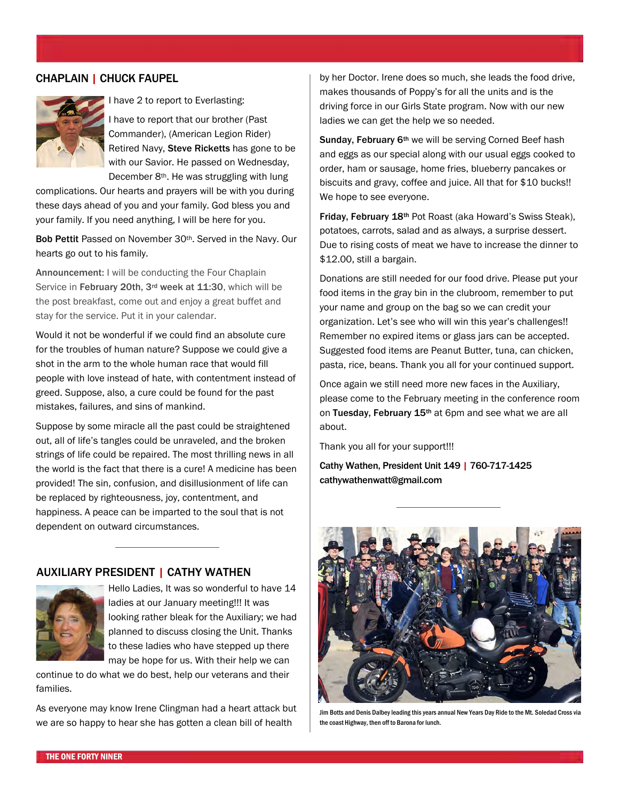#### CHAPLAIN | CHUCK FAUPEL



I have 2 to report to Everlasting:

I have to report that our brother (Past Commander), (American Legion Rider) Retired Navy, Steve Ricketts has gone to be with our Savior. He passed on Wednesday, December 8<sup>th</sup>. He was struggling with lung

complications. Our hearts and prayers will be with you during these days ahead of you and your family. God bless you and your family. If you need anything, I will be here for you.

Bob Pettit Passed on November 30<sup>th</sup>. Served in the Navy. Our hearts go out to his family.

Announcement: I will be conducting the Four Chaplain Service in February 20th, 3<sup>rd</sup> week at 11:30, which will be the post breakfast, come out and enjoy a great buffet and stay for the service. Put it in your calendar.

Would it not be wonderful if we could find an absolute cure for the troubles of human nature? Suppose we could give a shot in the arm to the whole human race that would fill people with love instead of hate, with contentment instead of greed. Suppose, also, a cure could be found for the past mistakes, failures, and sins of mankind.

Suppose by some miracle all the past could be straightened out, all of life's tangles could be unraveled, and the broken strings of life could be repaired. The most thrilling news in all the world is the fact that there is a cure! A medicine has been provided! The sin, confusion, and disillusionment of life can be replaced by righteousness, joy, contentment, and happiness. A peace can be imparted to the soul that is not dependent on outward circumstances.

#### AUXILIARY PRESIDENT | CATHY WATHEN



Hello Ladies, It was so wonderful to have 14 ladies at our January meeting!!! It was looking rather bleak for the Auxiliary; we had planned to discuss closing the Unit. Thanks to these ladies who have stepped up there may be hope for us. With their help we can

continue to do what we do best, help our veterans and their families.

As everyone may know Irene Clingman had a heart attack but we are so happy to hear she has gotten a clean bill of health

by her Doctor. Irene does so much, she leads the food drive, makes thousands of Poppy's for all the units and is the driving force in our Girls State program. Now with our new ladies we can get the help we so needed.

Sunday, February 6<sup>th</sup> we will be serving Corned Beef hash and eggs as our special along with our usual eggs cooked to order, ham or sausage, home fries, blueberry pancakes or biscuits and gravy, coffee and juice. All that for \$10 bucks!! We hope to see everyone.

Friday, February 18<sup>th</sup> Pot Roast (aka Howard's Swiss Steak), potatoes, carrots, salad and as always, a surprise dessert. Due to rising costs of meat we have to increase the dinner to \$12.00, still a bargain.

Donations are still needed for our food drive. Please put your food items in the gray bin in the clubroom, remember to put your name and group on the bag so we can credit your organization. Let's see who will win this year's challenges!! Remember no expired items or glass jars can be accepted. Suggested food items are Peanut Butter, tuna, can chicken, pasta, rice, beans. Thank you all for your continued support.

Once again we still need more new faces in the Auxiliary, please come to the February meeting in the conference room on Tuesday, February 15<sup>th</sup> at 6pm and see what we are all about.

Thank you all for your support!!!

Cathy Wathen, President Unit 149 | 760-717-1425 cathywathenwatt@gmail.com



Jim Botts and Denis Dalbey leading this years annual New Years Day Ride to the Mt. Soledad Cross via the coast Highway, then off to Barona for lunch.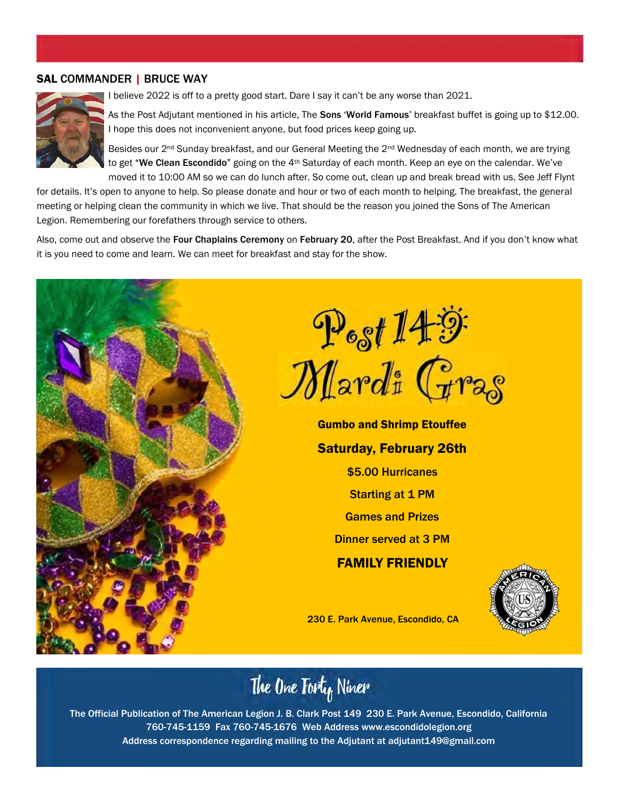#### SAL COMMANDER | BRUCE WAY



I believe 2022 is off to a pretty good start. Dare I say it can't be any worse than 2021.

As the Post Adjutant mentioned in his article, The Sons 'World Famous' breakfast buffet is going up to \$12.00. I hope this does not inconvenient anyone, but food prices keep going up.

Besides our 2<sup>nd</sup> Sunday breakfast, and our General Meeting the 2<sup>nd</sup> Wednesday of each month, we are trying to get "We Clean Escondido" going on the 4<sup>th</sup> Saturday of each month. Keep an eye on the calendar. We've moved it to 10:00 AM so we can do lunch after. So come out, clean up and break bread with us. See Jeff Flynt

for details. It's open to anyone to help. So please donate and hour or two of each month to helping. The breakfast, the general meeting or helping clean the community in which we live. That should be the reason you joined the Sons of The American Legion. Remembering our forefathers through service to others.

Also, come out and observe the Four Chaplains Ceremony on February 20, after the Post Breakfast. And if you don't know what it is you need to come and learn. We can meet for breakfast and stay for the show.



The One Forty Niner

The Official Publication of The American Legion J. B. Clark Post 149 230 E. Park Avenue, Escondido, California 760-745-1159 Fax 760-745-1676 Web Address www.escondidolegion.org Address correspondence regarding mailing to the Adjutant at adjutant149@gmail.com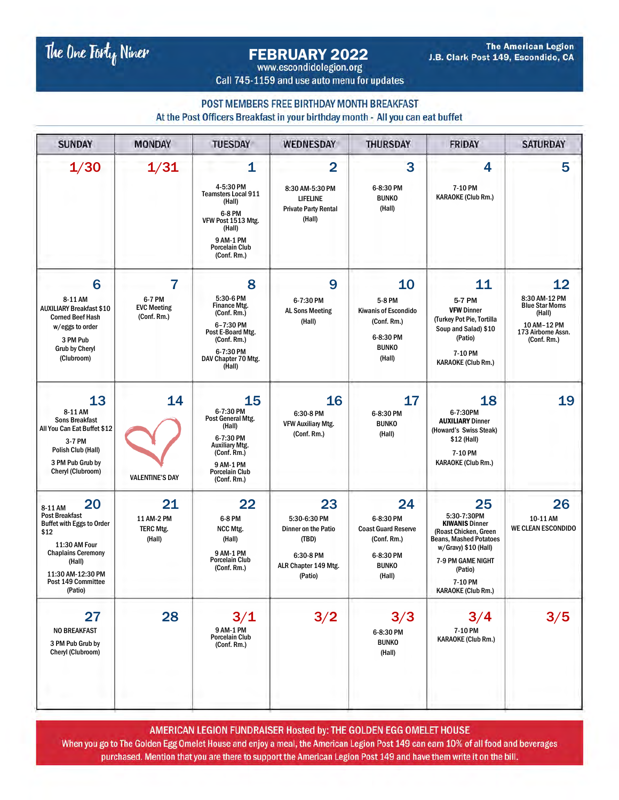The One Fort<sub>of</sub> Niner

# FEBRUARY 2022

**The American Legion** J.B. Clark Post 149, Escondido, CA

Call 745-1159 and use auto menu for updates

#### POST MEMBERS FREE BIRTHDAY MONTH BREAKFAST

At the Post Officers Breakfast in your birthday month - All you can eat buffet

| <b>SUNDAY</b>                                                                                                                                                                                    | <b>MONDAY</b>                                    | <b>TUESDAY</b>                                                                                                                                           | <b>WEDNESDAY</b>                                                                                   | <b>THURSDAY</b>                                                                                     | <b>FRIDAY</b>                                                                                                                                                                                        | <b>SATURDAY</b>                                                                                            |
|--------------------------------------------------------------------------------------------------------------------------------------------------------------------------------------------------|--------------------------------------------------|----------------------------------------------------------------------------------------------------------------------------------------------------------|----------------------------------------------------------------------------------------------------|-----------------------------------------------------------------------------------------------------|------------------------------------------------------------------------------------------------------------------------------------------------------------------------------------------------------|------------------------------------------------------------------------------------------------------------|
| 1/30                                                                                                                                                                                             | 1/31                                             | 1<br>4-5:30 PM<br><b>Teamsters Local 911</b><br>(Hall)<br>6-8 PM<br>VFW Post 1513 Mtg.<br>(Hall)<br>9 AM-1 PM<br><b>Porcelain Club</b><br>(Conf. Rm.)    | $\overline{2}$<br>8:30 AM-5:30 PM<br><b>LIFELINE</b><br><b>Private Party Rental</b><br>(Hall)      | 3<br>6-8:30 PM<br><b>BUNKO</b><br>(Hall)                                                            | 4<br>7-10 PM<br><b>KARAOKE (Club Rm.)</b>                                                                                                                                                            | 5                                                                                                          |
| 6<br>8-11 AM<br><b>AUXILIARY Breakfast \$10</b><br><b>Corned Beef Hash</b><br>w/eggs to order<br>3 PM Pub<br><b>Grub by Cheryl</b><br>(Clubroom)                                                 | 7<br>6-7 PM<br><b>EVC Meeting</b><br>(Conf. Rm.) | 8<br>5:30-6 PM<br><b>Finance Mtg.</b><br>(Conf. Rm.)<br>6-7:30 PM<br>Post E-Board Mtg.<br>(Conf. Rm.)<br>6-7:30 PM<br>DAV Chapter 70 Mtg.<br>(Hall)      | 9<br>6-7:30 PM<br><b>AL Sons Meeting</b><br>(Hall)                                                 | 10<br>5-8 PM<br><b>Kiwanis of Escondido</b><br>(Conf. Rm.)<br>6-8:30 PM<br><b>BUNKO</b><br>(Hall)   | 11<br>5-7 PM<br><b>VFW Dinner</b><br>(Turkey Pot Pie, Tortilla<br>Soup and Salad) \$10<br>(Patio)<br>7-10 PM<br><b>KARAOKE (Club Rm.)</b>                                                            | 12<br>8:30 AM-12 PM<br><b>Blue Star Moms</b><br>(Hall)<br>10 AM-12 PM<br>173 Airborne Assn.<br>(Conf. Rm.) |
| 13<br>8-11 AM<br><b>Sons Breakfast</b><br>All You Can Eat Buffet \$12<br>3-7 PM<br>Polish Club (Hall)<br>3 PM Pub Grub by<br>Cheryl (Clubroom)                                                   | 14<br><b>VALENTINE'S DAY</b>                     | 15<br>6-7:30 PM<br>Post General Mtg.<br>(Hall)<br>6-7:30 PM<br><b>Auxiliary Mtg.</b><br>(Conf. Rm.)<br>9 AM-1 PM<br><b>Porcelain Club</b><br>(Conf. Rm.) | 16<br>6:30-8 PM<br><b>VFW Auxiliary Mtg.</b><br>(Conf. Rm.)                                        | 17<br>6-8:30 PM<br><b>BUNKO</b><br>(Hall)                                                           | 18<br>6-7:30PM<br><b>AUXILIARY Dinner</b><br>(Howard's Swiss Steak)<br>\$12 (Hall)<br>7-10 PM<br><b>KARAOKE (Club Rm.)</b>                                                                           | 19                                                                                                         |
| 20<br>8-11 AM<br><b>Post Breakfast</b><br><b>Buffet with Eggs to Order</b><br>\$12<br>11:30 AM Four<br><b>Chaplains Ceremony</b><br>(Hall)<br>11:30 AM-12:30 PM<br>Post 149 Committee<br>(Patio) | 21<br>11 AM-2 PM<br><b>TERC Mtg.</b><br>(Hall)   | 22<br>6-8 PM<br>NCC Mtg.<br>(Hall)<br>9 AM-1 PM<br><b>Porcelain Club</b><br>(Conf. Rm.)                                                                  | 23<br>5:30-6:30 PM<br>Dinner on the Patio<br>(TBD)<br>6:30-8 PM<br>ALR Chapter 149 Mtg.<br>(Patio) | 24<br>6-8:30 PM<br><b>Coast Guard Reserve</b><br>(Conf. Rm.)<br>6-8:30 PM<br><b>BUNKO</b><br>(Hall) | 25<br>5:30-7:30PM<br><b>KIWANIS Dinner</b><br>(Roast Chicken, Green<br><b>Beans, Mashed Potatoes</b><br>w/Gravy) \$10 (Hall)<br>7-9 PM GAME NIGHT<br>(Patio)<br>7-10 PM<br><b>KARAOKE (Club Rm.)</b> | 26<br>10-11 AM<br><b>WE CLEAN ESCONDIDO</b>                                                                |
| 27<br><b>NO BREAKFAST</b><br>3 PM Pub Grub by<br>Cheryl (Clubroom)                                                                                                                               | 28                                               | 3/1<br>9 AM-1 PM<br>Porcelain Club<br>(Conf. Rm.)                                                                                                        | 3/2                                                                                                | 3/3<br>6-8:30 PM<br><b>BUNKO</b><br>(Hall)                                                          | 3/4<br>7-10 PM<br><b>KARAOKE (Club Rm.)</b>                                                                                                                                                          | 3/5                                                                                                        |

AMERICAN LEGION FUNDRAISER Hosted by: THE GOLDEN EGG OMELET HOUSE When you go to The Golden Egg Omelet House and enjoy a meal, the American Legion Post 149 can earn 10% of all food and beverages purchased. Mention that you are there to support the American Legion Post 149 and have them write it on the bill.